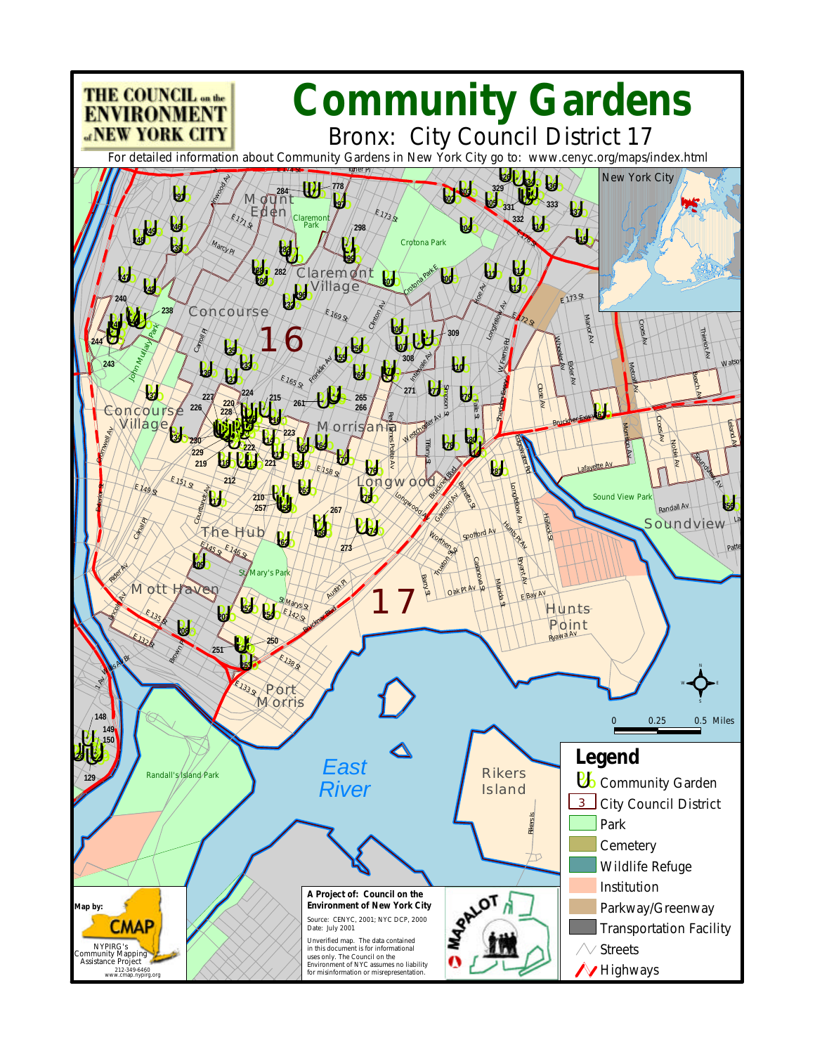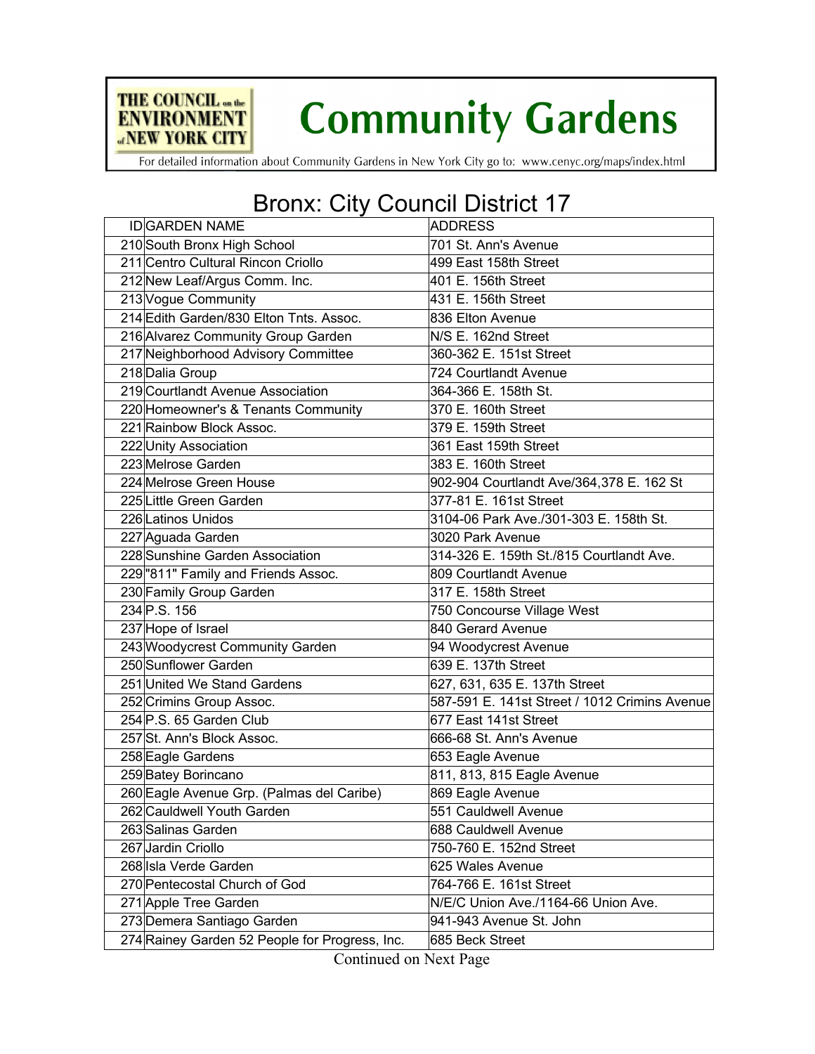

For detailed information about Community Gardens in New York City go to: www.cenyc.org/maps/index.html

THE COUNCIL on the

**ENVIRONMENT «NEW YORK CITY** 

## Bronx: City Council District 17

| <b>ID</b> GARDEN NAME                          | <b>ADDRESS</b>                                |
|------------------------------------------------|-----------------------------------------------|
| 210 South Bronx High School                    | 701 St. Ann's Avenue                          |
| 211 Centro Cultural Rincon Criollo             | 499 East 158th Street                         |
| 212 New Leaf/Argus Comm. Inc.                  | 401 E. 156th Street                           |
| 213 Vogue Community                            | 431 E. 156th Street                           |
| 214 Edith Garden/830 Elton Tnts. Assoc.        | 836 Elton Avenue                              |
| 216 Alvarez Community Group Garden             | N/S E. 162nd Street                           |
| 217 Neighborhood Advisory Committee            | 360-362 E. 151st Street                       |
| 218 Dalia Group                                | 724 Courtlandt Avenue                         |
| 219 Courtlandt Avenue Association              | 364-366 E. 158th St.                          |
| 220 Homeowner's & Tenants Community            | 370 E. 160th Street                           |
| 221 Rainbow Block Assoc.                       | 379 E. 159th Street                           |
| 222 Unity Association                          | 361 East 159th Street                         |
| 223 Melrose Garden                             | 383 E. 160th Street                           |
| 224 Melrose Green House                        | 902-904 Courtlandt Ave/364,378 E. 162 St      |
| 225 Little Green Garden                        | 377-81 E. 161st Street                        |
| 226 Latinos Unidos                             | 3104-06 Park Ave./301-303 E. 158th St.        |
| 227 Aguada Garden                              | 3020 Park Avenue                              |
| 228 Sunshine Garden Association                | 314-326 E. 159th St./815 Courtlandt Ave.      |
| 229 "811" Family and Friends Assoc.            | 809 Courtlandt Avenue                         |
| 230 Family Group Garden                        | 317 E. 158th Street                           |
| 234 P.S. 156                                   | 750 Concourse Village West                    |
| 237 Hope of Israel                             | 840 Gerard Avenue                             |
| 243 Woodycrest Community Garden                | 94 Woodycrest Avenue                          |
| 250 Sunflower Garden                           | 639 E. 137th Street                           |
| 251 United We Stand Gardens                    | 627, 631, 635 E. 137th Street                 |
| 252 Crimins Group Assoc.                       | 587-591 E. 141st Street / 1012 Crimins Avenue |
| 254 P.S. 65 Garden Club                        | 677 East 141st Street                         |
| 257 St. Ann's Block Assoc.                     | 666-68 St. Ann's Avenue                       |
| 258 Eagle Gardens                              | 653 Eagle Avenue                              |
| 259 Batey Borincano                            | 811, 813, 815 Eagle Avenue                    |
| 260 Eagle Avenue Grp. (Palmas del Caribe)      | 869 Eagle Avenue                              |
| 262 Cauldwell Youth Garden                     | 551 Cauldwell Avenue                          |
| 263 Salinas Garden                             | 688 Cauldwell Avenue                          |
| 267 Jardin Criollo                             | 750-760 E. 152nd Street                       |
| 268 Isla Verde Garden                          | 625 Wales Avenue                              |
| 270 Pentecostal Church of God                  | 764-766 E. 161st Street                       |
| 271 Apple Tree Garden                          | N/E/C Union Ave./1164-66 Union Ave.           |
| 273 Demera Santiago Garden                     | 941-943 Avenue St. John                       |
| 274 Rainey Garden 52 People for Progress, Inc. | 685 Beck Street                               |

Continued on Next Page